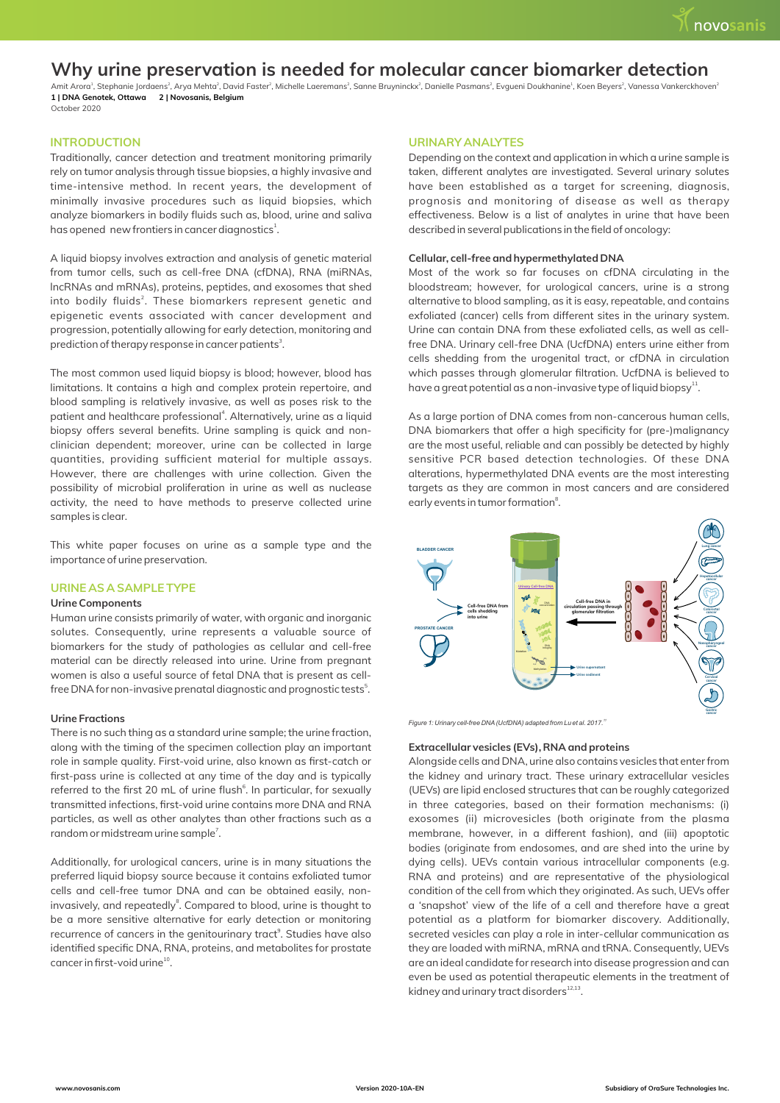# **Why urine preservation is needed for molecular cancer biomarker detection**

<sup>1</sup> <sup>2</sup> <sup>2</sup> <sup>2</sup> <sup>2</sup> <sup>2</sup> <sup>2</sup> <sup>1</sup> <sup>2</sup> <sup>2</sup> Amit Arora , Stephanie Jordaens , Arya Mehta , David Faster , Michelle Laeremans , Sanne Bruyninckx , Danielle Pasmans , Evgueni Doukhanine , Koen Beyers , Vanessa Vankerckhoven **1 | DNA Genotek, Ottawa 2 | Novosanis, Belgium**  October 2020

# **INTRODUCTION**

Traditionally, cancer detection and treatment monitoring primarily rely on tumor analysis through tissue biopsies, a highly invasive and time-intensive method. In recent years, the development of minimally invasive procedures such as liquid biopsies, which analyze biomarkers in bodily fluids such as, blood, urine and saliva has opened new frontiers in cancer diagnostics $^1$ .

A liquid biopsy involves extraction and analysis of genetic material from tumor cells, such as cell-free DNA (cfDNA), RNA (miRNAs, lncRNAs and mRNAs), proteins, peptides, and exosomes that shed into bodily fluids<sup>2</sup>. These biomarkers represent genetic and epigenetic events associated with cancer development and progression, potentially allowing for early detection, monitoring and prediction of therapy response in cancer patients<sup>3</sup>.

The most common used liquid biopsy is blood; however, blood has limitations. It contains a high and complex protein repertoire, and blood sampling is relatively invasive, as well as poses risk to the patient and healthcare professional<sup>4</sup>. Alternatively, urine as a liquid biopsy offers several benefits. Urine sampling is quick and nonclinician dependent; moreover, urine can be collected in large quantities, providing sufficient material for multiple assays. However, there are challenges with urine collection. Given the possibility of microbial proliferation in urine as well as nuclease activity, the need to have methods to preserve collected urine samples is clear.

This white paper focuses on urine as a sample type and the importance of urine preservation.

## **URINE AS A SAMPLE TYPE**

## **Urine Components**

Human urine consists primarily of water, with organic and inorganic solutes. Consequently, urine represents a valuable source of biomarkers for the study of pathologies as cellular and cell-free material can be directly released into urine. Urine from pregnant women is also a useful source of fetal DNA that is present as cellfree DNA for non-invasive prenatal diagnostic and prognostic tests<sup>5</sup>.

# **Urine Fractions**

There is no such thing as a standard urine sample; the urine fraction, along with the timing of the specimen collection play an important role in sample quality. First-void urine, also known as first-catch or first-pass urine is collected at any time of the day and is typically referred to the first 20 mL of urine flush<sup>6</sup>. In particular, for sexually transmitted infections, first-void urine contains more DNA and RNA particles, as well as other analytes than other fractions such as a random or midstream urine sample<sup>7</sup>.

Additionally, for urological cancers, urine is in many situations the preferred liquid biopsy source because it contains exfoliated tumor cells and cell-free tumor DNA and can be obtained easily, noninvasively, and repeatedly<sup>8</sup>. Compared to blood, urine is thought to be a more sensitive alternative for early detection or monitoring recurrence of cancers in the genitourinary tract<sup>9</sup>. Studies have also identified specific DNA, RNA, proteins, and metabolites for prostate cancer in first-void urine<sup>10</sup>.

#### **URINARY ANALYTES**

Depending on the context and application in which a urine sample is taken, different analytes are investigated. Several urinary solutes have been established as a target for screening, diagnosis, prognosis and monitoring of disease as well as therapy effectiveness. Below is a list of analytes in urine that have been described in several publications in the field of oncology:

#### **Cellular, cell-free and hypermethylated DNA**

Most of the work so far focuses on cfDNA circulating in the bloodstream; however, for urological cancers, urine is a strong alternative to blood sampling, as it is easy, repeatable, and contains exfoliated (cancer) cells from different sites in the urinary system. Urine can contain DNA from these exfoliated cells, as well as cellfree DNA. Urinary cell-free DNA (UcfDNA) enters urine either from cells shedding from the urogenital tract, or cfDNA in circulation which passes through glomerular filtration. UcfDNA is believed to have a great potential as a non-invasive type of liquid biopsy<sup>11</sup>.

As a large portion of DNA comes from non-cancerous human cells, DNA biomarkers that offer a high specificity for (pre-)malignancy are the most useful, reliable and can possibly be detected by highly sensitive PCR based detection technologies. Of these DNA alterations, hypermethylated DNA events are the most interesting targets as they are common in most cancers and are considered early events in tumor formation<sup>8</sup>.



*<sup>11</sup>Figure 1: Urinary cell-free DNA(UcfDNA) adapted from Lu et al. 2017.*

#### **Extracellular vesicles (EVs), RNA and proteins**

Alongside cells and DNA, urine also contains vesicles that enter from the kidney and urinary tract. These urinary extracellular vesicles (UEVs) are lipid enclosed structures that can be roughly categorized in three categories, based on their formation mechanisms: (i) exosomes (ii) microvesicles (both originate from the plasma membrane, however, in a different fashion), and (iii) apoptotic bodies (originate from endosomes, and are shed into the urine by dying cells). UEVs contain various intracellular components (e.g. RNA and proteins) and are representative of the physiological condition of the cell from which they originated. As such, UEVs offer a 'snapshot' view of the life of a cell and therefore have a great potential as a platform for biomarker discovery. Additionally, secreted vesicles can play a role in inter-cellular communication as they are loaded with miRNA, mRNA and tRNA. Consequently, UEVs are an ideal candidate for research into disease progression and can even be used as potential therapeutic elements in the treatment of  $k$ idney and urinary tract disorders $^{12,13}$ .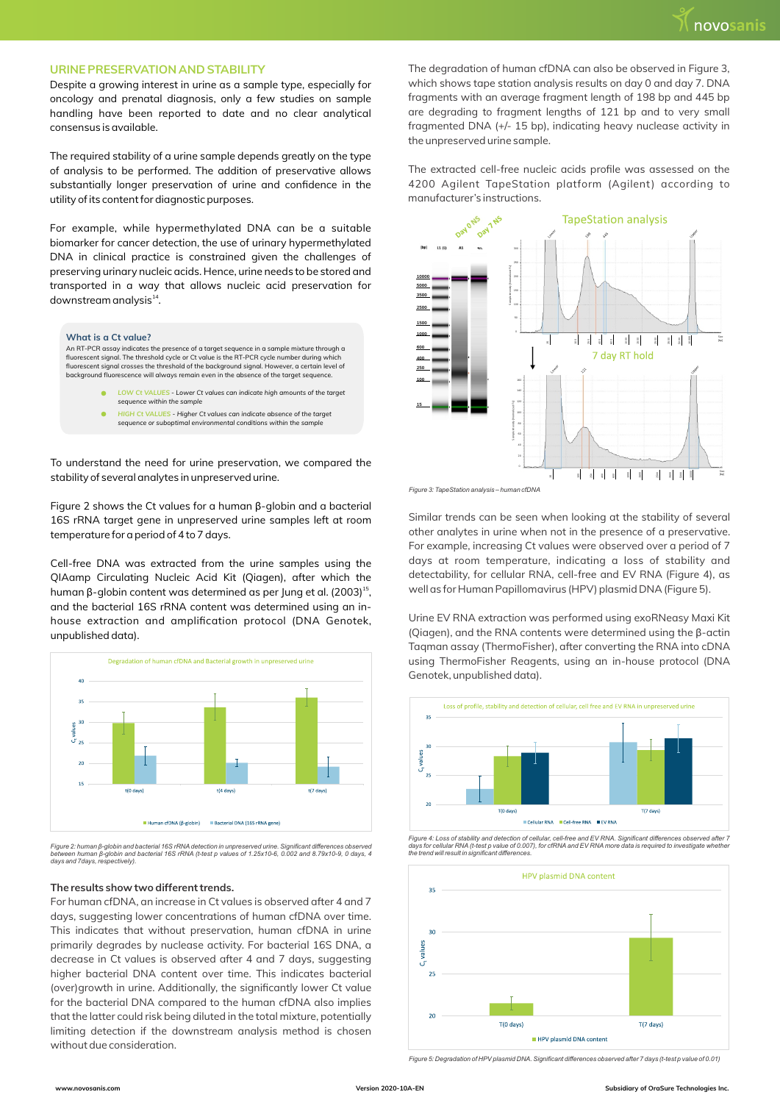## **URINE PRESERVATION AND STABILITY**

Despite a growing interest in urine as a sample type, especially for oncology and prenatal diagnosis, only a few studies on sample handling have been reported to date and no clear analytical consensus is available.

The required stability of a urine sample depends greatly on the type of analysis to be performed. The addition of preservative allows substantially longer preservation of urine and confidence in the utility of its content for diagnostic purposes.

For example, while hypermethylated DNA can be a suitable biomarker for cancer detection, the use of urinary hypermethylated DNA in clinical practice is constrained given the challenges of preserving urinary nucleic acids. Hence, urine needs to be stored and transported in a way that allows nucleic acid preservation for downstream analysis<sup>14</sup>.



- LOW Ct VALUES Lower Ct values can indicate high amounts of the target *sequence within the sample*
- Ÿ *HIGH Ct VALUES Higher Ct values can indicate absence of the target sequence or suboptimal environmental conditions within the sample*

To understand the need for urine preservation, we compared the stability of several analytes in unpreserved urine.

Figure 2 shows the Ct values for a human β-globin and a bacterial 16S rRNA target gene in unpreserved urine samples left at room temperature for a period of 4 to 7 days.

Cell-free DNA was extracted from the urine samples using the QIAamp Circulating Nucleic Acid Kit (Qiagen), after which the human β-globin content was determined as per Jung et al. (2003)<sup>15</sup>, and the bacterial 16S rRNA content was determined using an inhouse extraction and amplification protocol (DNA Genotek, unpublished data).



Figure 2: human β-globin and bacterial 16S rRNA detection in unpreserved urine. Significant differences observed<br>between human β-globin and bacterial 16S rRNA (t-test p values of 1.25x10-6, 0.002 and 8.79x10-9, 0 days, 4<br>d

## **The results show two different trends.**

For human cfDNA, an increase in Ct values is observed after 4 and 7 days, suggesting lower concentrations of human cfDNA over time. This indicates that without preservation, human cfDNA in urine primarily degrades by nuclease activity. For bacterial 16S DNA, a decrease in Ct values is observed after 4 and 7 days, suggesting higher bacterial DNA content over time. This indicates bacterial (over)growth in urine. Additionally, the significantly lower Ct value for the bacterial DNA compared to the human cfDNA also implies that the latter could risk being diluted in the total mixture, potentially limiting detection if the downstream analysis method is chosen without due consideration.

The degradation of human cfDNA can also be observed in Figure 3, which shows tape station analysis results on day 0 and day 7. DNA fragments with an average fragment length of 198 bp and 445 bp are degrading to fragment lengths of 121 bp and to very small fragmented DNA (+/- 15 bp), indicating heavy nuclease activity in the unpreserved urine sample.

The extracted cell-free nucleic acids profile was assessed on the 4200 Agilent TapeStation platform (Agilent) according to manufacturer's instructions.



Similar trends can be seen when looking at the stability of several other analytes in urine when not in the presence of a preservative. For example, increasing Ct values were observed over a period of 7 days at room temperature, indicating a loss of stability and detectability, for cellular RNA, cell-free and EV RNA (Figure 4), as well as for Human Papillomavirus (HPV) plasmid DNA (Figure 5).

Urine EV RNA extraction was performed using exoRNeasy Maxi Kit (Qiagen), and the RNA contents were determined using the β-actin Taqman assay (ThermoFisher), after converting the RNA into cDNA using ThermoFisher Reagents, using an in-house protocol (DNA Genotek, unpublished data).



Figure 4: Loss of stability and detection of cellular, cell-free and EV RNA. Significant differences observed after 7<br>days for cellular RNA (t-test p value of 0.007), for cfRNA and EV RNA more data is required to investiga



*Figure 5: Degradation of HPV plasmid DNA. Significant differences observed after 7 days (t-test p value of 0.01)*